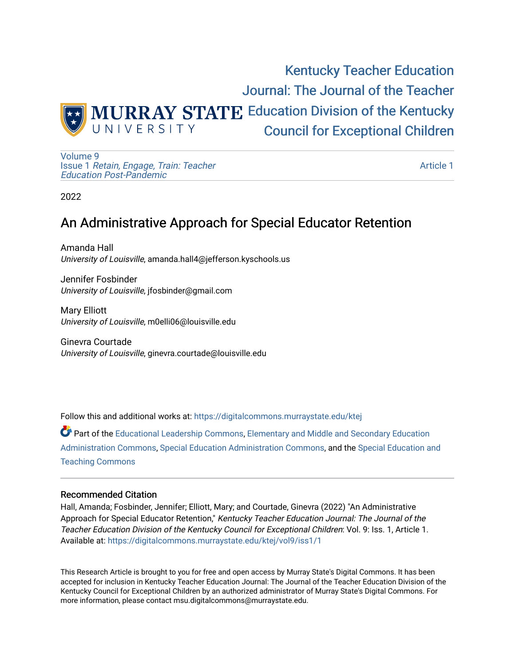

[Volume 9](https://digitalcommons.murraystate.edu/ktej/vol9) Issue 1 [Retain, Engage, Train: Teacher](https://digitalcommons.murraystate.edu/ktej/vol9/iss1)  [Education Post-Pandemic](https://digitalcommons.murraystate.edu/ktej/vol9/iss1) 

[Article 1](https://digitalcommons.murraystate.edu/ktej/vol9/iss1/1) 

2022

# An Administrative Approach for Special Educator Retention

Amanda Hall University of Louisville, amanda.hall4@jefferson.kyschools.us

Jennifer Fosbinder University of Louisville, jfosbinder@gmail.com

Mary Elliott University of Louisville, m0elli06@louisville.edu

Ginevra Courtade University of Louisville, ginevra.courtade@louisville.edu

Follow this and additional works at: [https://digitalcommons.murraystate.edu/ktej](https://digitalcommons.murraystate.edu/ktej?utm_source=digitalcommons.murraystate.edu%2Fktej%2Fvol9%2Fiss1%2F1&utm_medium=PDF&utm_campaign=PDFCoverPages) 

Part of the [Educational Leadership Commons,](https://network.bepress.com/hgg/discipline/1230?utm_source=digitalcommons.murraystate.edu%2Fktej%2Fvol9%2Fiss1%2F1&utm_medium=PDF&utm_campaign=PDFCoverPages) Elementary and Middle and Secondary Education [Administration Commons,](https://network.bepress.com/hgg/discipline/790?utm_source=digitalcommons.murraystate.edu%2Fktej%2Fvol9%2Fiss1%2F1&utm_medium=PDF&utm_campaign=PDFCoverPages) [Special Education Administration Commons,](https://network.bepress.com/hgg/discipline/788?utm_source=digitalcommons.murraystate.edu%2Fktej%2Fvol9%2Fiss1%2F1&utm_medium=PDF&utm_campaign=PDFCoverPages) and the [Special Education and](https://network.bepress.com/hgg/discipline/801?utm_source=digitalcommons.murraystate.edu%2Fktej%2Fvol9%2Fiss1%2F1&utm_medium=PDF&utm_campaign=PDFCoverPages) [Teaching Commons](https://network.bepress.com/hgg/discipline/801?utm_source=digitalcommons.murraystate.edu%2Fktej%2Fvol9%2Fiss1%2F1&utm_medium=PDF&utm_campaign=PDFCoverPages)

### Recommended Citation

Hall, Amanda; Fosbinder, Jennifer; Elliott, Mary; and Courtade, Ginevra (2022) "An Administrative Approach for Special Educator Retention," Kentucky Teacher Education Journal: The Journal of the Teacher Education Division of the Kentucky Council for Exceptional Children: Vol. 9: Iss. 1, Article 1. Available at: [https://digitalcommons.murraystate.edu/ktej/vol9/iss1/1](https://digitalcommons.murraystate.edu/ktej/vol9/iss1/1?utm_source=digitalcommons.murraystate.edu%2Fktej%2Fvol9%2Fiss1%2F1&utm_medium=PDF&utm_campaign=PDFCoverPages) 

This Research Article is brought to you for free and open access by Murray State's Digital Commons. It has been accepted for inclusion in Kentucky Teacher Education Journal: The Journal of the Teacher Education Division of the Kentucky Council for Exceptional Children by an authorized administrator of Murray State's Digital Commons. For more information, please contact msu.digitalcommons@murraystate.edu.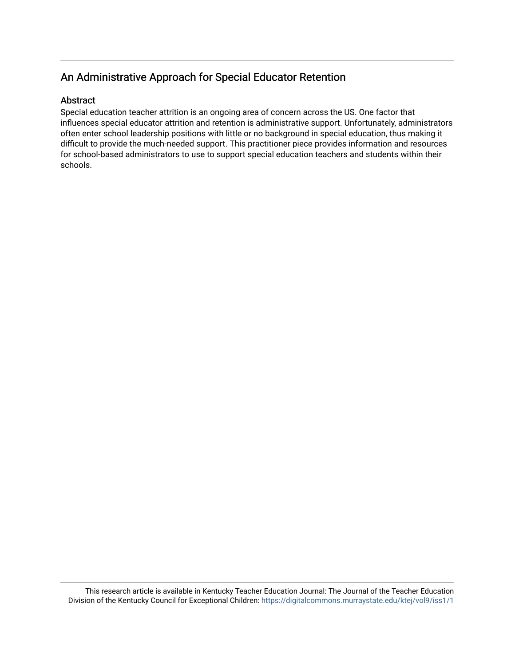# An Administrative Approach for Special Educator Retention

## **Abstract**

Special education teacher attrition is an ongoing area of concern across the US. One factor that influences special educator attrition and retention is administrative support. Unfortunately, administrators often enter school leadership positions with little or no background in special education, thus making it difficult to provide the much-needed support. This practitioner piece provides information and resources for school-based administrators to use to support special education teachers and students within their schools.

This research article is available in Kentucky Teacher Education Journal: The Journal of the Teacher Education Division of the Kentucky Council for Exceptional Children: <https://digitalcommons.murraystate.edu/ktej/vol9/iss1/1>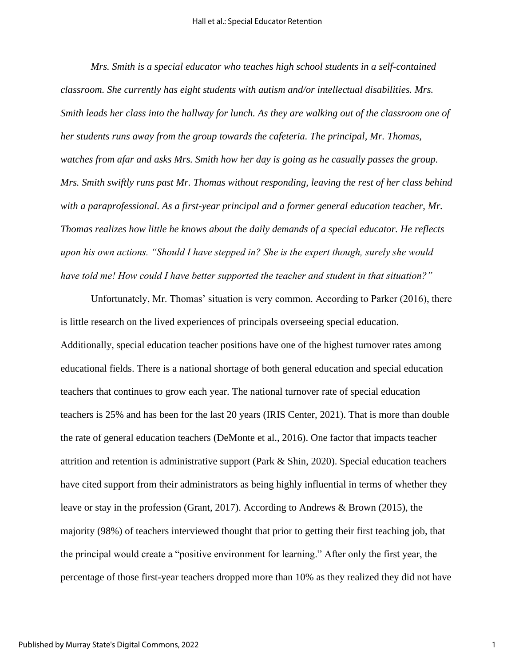*Mrs. Smith is a special educator who teaches high school students in a self-contained classroom. She currently has eight students with autism and/or intellectual disabilities. Mrs. Smith leads her class into the hallway for lunch. As they are walking out of the classroom one of her students runs away from the group towards the cafeteria. The principal, Mr. Thomas, watches from afar and asks Mrs. Smith how her day is going as he casually passes the group. Mrs. Smith swiftly runs past Mr. Thomas without responding, leaving the rest of her class behind with a paraprofessional. As a first-year principal and a former general education teacher, Mr. Thomas realizes how little he knows about the daily demands of a special educator. He reflects upon his own actions. "Should I have stepped in? She is the expert though, surely she would have told me! How could I have better supported the teacher and student in that situation?"* 

Unfortunately, Mr. Thomas' situation is very common. According to Parker (2016), there is little research on the lived experiences of principals overseeing special education. Additionally, special education teacher positions have one of the highest turnover rates among educational fields. There is a national shortage of both general education and special education teachers that continues to grow each year. The national turnover rate of special education teachers is 25% and has been for the last 20 years (IRIS Center, 2021). That is more than double the rate of general education teachers (DeMonte et al., 2016). One factor that impacts teacher attrition and retention is administrative support (Park & Shin, 2020). Special education teachers have cited support from their administrators as being highly influential in terms of whether they leave or stay in the profession (Grant, 2017). According to Andrews & Brown (2015), the majority (98%) of teachers interviewed thought that prior to getting their first teaching job, that the principal would create a "positive environment for learning." After only the first year, the percentage of those first-year teachers dropped more than 10% as they realized they did not have

1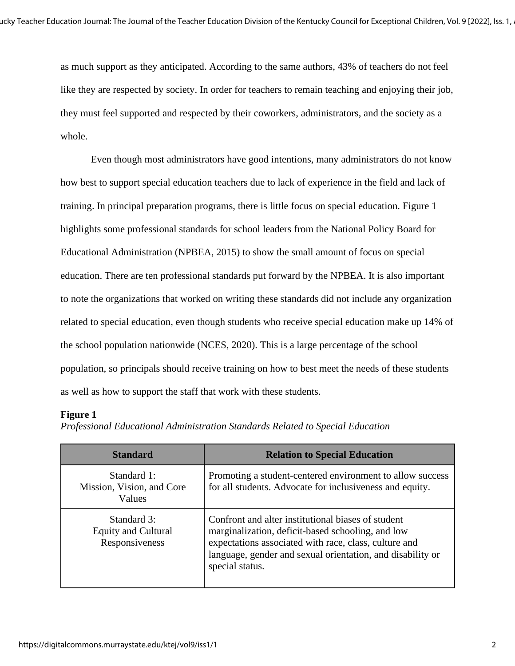as much support as they anticipated. According to the same authors, 43% of teachers do not feel like they are respected by society. In order for teachers to remain teaching and enjoying their job, they must feel supported and respected by their coworkers, administrators, and the society as a whole.

Even though most administrators have good intentions, many administrators do not know how best to support special education teachers due to lack of experience in the field and lack of training. In principal preparation programs, there is little focus on special education. Figure 1 highlights some professional standards for school leaders from the National Policy Board for Educational Administration (NPBEA, 2015) to show the small amount of focus on special education. There are ten professional standards put forward by the NPBEA. It is also important to note the organizations that worked on writing these standards did not include any organization related to special education, even though students who receive special education make up 14% of the school population nationwide (NCES, 2020). This is a large percentage of the school population, so principals should receive training on how to best meet the needs of these students as well as how to support the staff that work with these students.

### **Figure 1**

*Professional Educational Administration Standards Related to Special Education*

| <b>Standard</b>                                             | <b>Relation to Special Education</b>                                                                                                                                                                                                              |
|-------------------------------------------------------------|---------------------------------------------------------------------------------------------------------------------------------------------------------------------------------------------------------------------------------------------------|
| Standard 1:<br>Mission, Vision, and Core<br>Values          | Promoting a student-centered environment to allow success<br>for all students. Advocate for inclusiveness and equity.                                                                                                                             |
| Standard 3:<br><b>Equity and Cultural</b><br>Responsiveness | Confront and alter institutional biases of student<br>marginalization, deficit-based schooling, and low<br>expectations associated with race, class, culture and<br>language, gender and sexual orientation, and disability or<br>special status. |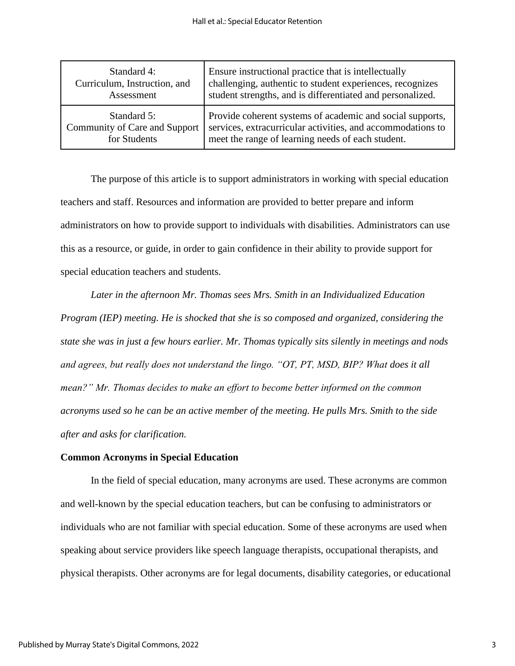| Standard 4:                   | Ensure instructional practice that is intellectually        |
|-------------------------------|-------------------------------------------------------------|
| Curriculum, Instruction, and  | challenging, authentic to student experiences, recognizes   |
| Assessment                    | student strengths, and is differentiated and personalized.  |
| Standard 5:                   | Provide coherent systems of academic and social supports,   |
| Community of Care and Support | services, extracurricular activities, and accommodations to |
| for Students                  | meet the range of learning needs of each student.           |

The purpose of this article is to support administrators in working with special education teachers and staff. Resources and information are provided to better prepare and inform administrators on how to provide support to individuals with disabilities. Administrators can use this as a resource, or guide, in order to gain confidence in their ability to provide support for special education teachers and students.

*Later in the afternoon Mr. Thomas sees Mrs. Smith in an Individualized Education Program (IEP) meeting. He is shocked that she is so composed and organized, considering the state she was in just a few hours earlier. Mr. Thomas typically sits silently in meetings and nods and agrees, but really does not understand the lingo. "OT, PT, MSD, BIP? What does it all mean?" Mr. Thomas decides to make an effort to become better informed on the common acronyms used so he can be an active member of the meeting. He pulls Mrs. Smith to the side after and asks for clarification.* 

### **Common Acronyms in Special Education**

In the field of special education, many acronyms are used. These acronyms are common and well-known by the special education teachers, but can be confusing to administrators or individuals who are not familiar with special education. Some of these acronyms are used when speaking about service providers like speech language therapists, occupational therapists, and physical therapists. Other acronyms are for legal documents, disability categories, or educational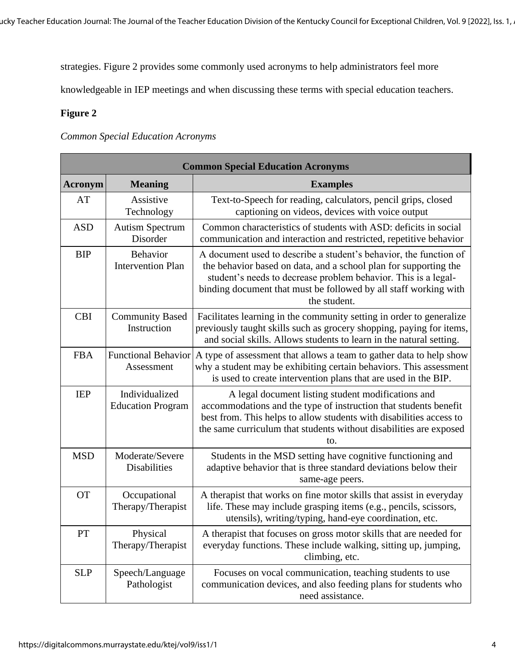strategies. Figure 2 provides some commonly used acronyms to help administrators feel more

knowledgeable in IEP meetings and when discussing these terms with special education teachers.

## **Figure 2**

*Common Special Education Acronyms*

| <b>Common Special Education Acronyms</b> |                                            |                                                                                                                                                                                                                                                                                             |  |
|------------------------------------------|--------------------------------------------|---------------------------------------------------------------------------------------------------------------------------------------------------------------------------------------------------------------------------------------------------------------------------------------------|--|
| <b>Acronym</b>                           | <b>Meaning</b>                             | <b>Examples</b>                                                                                                                                                                                                                                                                             |  |
| AT                                       | Assistive<br>Technology                    | Text-to-Speech for reading, calculators, pencil grips, closed<br>captioning on videos, devices with voice output                                                                                                                                                                            |  |
| <b>ASD</b>                               | <b>Autism Spectrum</b><br>Disorder         | Common characteristics of students with ASD: deficits in social<br>communication and interaction and restricted, repetitive behavior                                                                                                                                                        |  |
| <b>BIP</b>                               | Behavior<br><b>Intervention Plan</b>       | A document used to describe a student's behavior, the function of<br>the behavior based on data, and a school plan for supporting the<br>student's needs to decrease problem behavior. This is a legal-<br>binding document that must be followed by all staff working with<br>the student. |  |
| <b>CBI</b>                               | <b>Community Based</b><br>Instruction      | Facilitates learning in the community setting in order to generalize<br>previously taught skills such as grocery shopping, paying for items,<br>and social skills. Allows students to learn in the natural setting.                                                                         |  |
| <b>FBA</b>                               | <b>Functional Behavior</b><br>Assessment   | A type of assessment that allows a team to gather data to help show<br>why a student may be exhibiting certain behaviors. This assessment<br>is used to create intervention plans that are used in the BIP.                                                                                 |  |
| <b>IEP</b>                               | Individualized<br><b>Education Program</b> | A legal document listing student modifications and<br>accommodations and the type of instruction that students benefit<br>best from. This helps to allow students with disabilities access to<br>the same curriculum that students without disabilities are exposed<br>to.                  |  |
| <b>MSD</b>                               | Moderate/Severe<br>Disabilities            | Students in the MSD setting have cognitive functioning and<br>adaptive behavior that is three standard deviations below their<br>same-age peers.                                                                                                                                            |  |
| <b>OT</b>                                | Occupational<br>Therapy/Therapist          | A therapist that works on fine motor skills that assist in everyday<br>life. These may include grasping items (e.g., pencils, scissors,<br>utensils), writing/typing, hand-eye coordination, etc.                                                                                           |  |
| PT                                       | Physical<br>Therapy/Therapist              | A therapist that focuses on gross motor skills that are needed for<br>everyday functions. These include walking, sitting up, jumping,<br>climbing, etc.                                                                                                                                     |  |
| <b>SLP</b>                               | Speech/Language<br>Pathologist             | Focuses on vocal communication, teaching students to use<br>communication devices, and also feeding plans for students who<br>need assistance.                                                                                                                                              |  |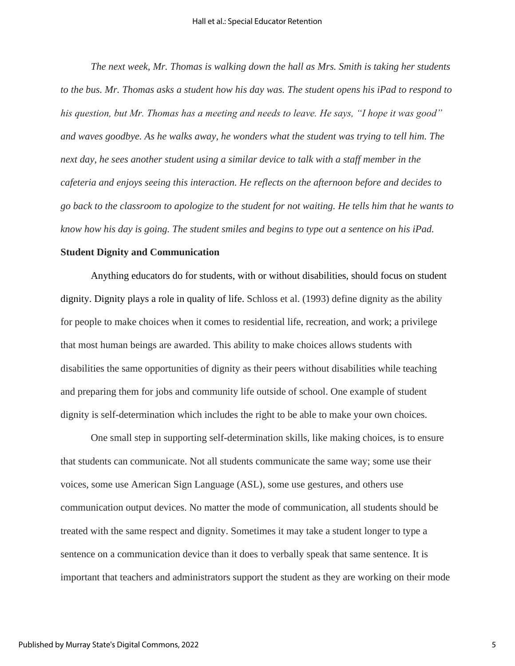*The next week, Mr. Thomas is walking down the hall as Mrs. Smith is taking her students to the bus. Mr. Thomas asks a student how his day was. The student opens his iPad to respond to his question, but Mr. Thomas has a meeting and needs to leave. He says, "I hope it was good" and waves goodbye. As he walks away, he wonders what the student was trying to tell him. The next day, he sees another student using a similar device to talk with a staff member in the cafeteria and enjoys seeing this interaction. He reflects on the afternoon before and decides to go back to the classroom to apologize to the student for not waiting. He tells him that he wants to know how his day is going. The student smiles and begins to type out a sentence on his iPad.* 

#### **Student Dignity and Communication**

Anything educators do for students, with or without disabilities, should focus on student dignity. Dignity plays a role in quality of life. Schloss et al. (1993) define dignity as the ability for people to make choices when it comes to residential life, recreation, and work; a privilege that most human beings are awarded. This ability to make choices allows students with disabilities the same opportunities of dignity as their peers without disabilities while teaching and preparing them for jobs and community life outside of school. One example of student dignity is self-determination which includes the right to be able to make your own choices.

One small step in supporting self-determination skills, like making choices, is to ensure that students can communicate. Not all students communicate the same way; some use their voices, some use American Sign Language (ASL), some use gestures, and others use communication output devices. No matter the mode of communication, all students should be treated with the same respect and dignity. Sometimes it may take a student longer to type a sentence on a communication device than it does to verbally speak that same sentence. It is important that teachers and administrators support the student as they are working on their mode

5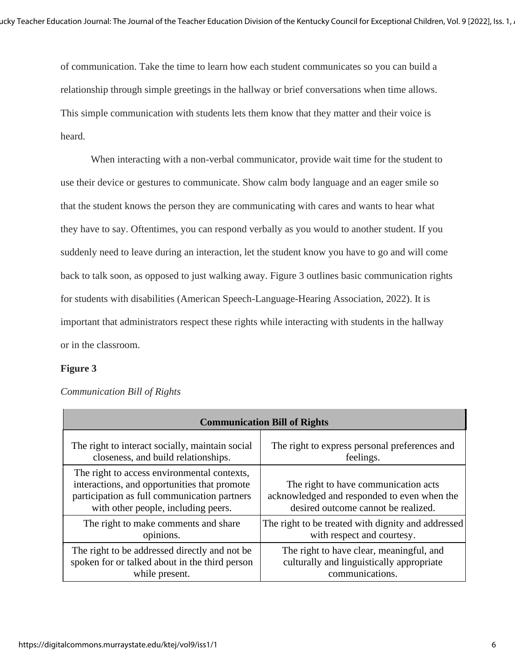of communication. Take the time to learn how each student communicates so you can build a relationship through simple greetings in the hallway or brief conversations when time allows. This simple communication with students lets them know that they matter and their voice is heard.

When interacting with a non-verbal communicator, provide wait time for the student to use their device or gestures to communicate. Show calm body language and an eager smile so that the student knows the person they are communicating with cares and wants to hear what they have to say. Oftentimes, you can respond verbally as you would to another student. If you suddenly need to leave during an interaction, let the student know you have to go and will come back to talk soon, as opposed to just walking away. Figure 3 outlines basic communication rights for students with disabilities (American Speech-Language-Hearing Association, 2022). It is important that administrators respect these rights while interacting with students in the hallway or in the classroom.

### **Figure 3**

| <b>Communication Bill of Rights</b>                                                                                                                                                |                                                                                                                            |  |  |  |
|------------------------------------------------------------------------------------------------------------------------------------------------------------------------------------|----------------------------------------------------------------------------------------------------------------------------|--|--|--|
| The right to interact socially, maintain social                                                                                                                                    | The right to express personal preferences and                                                                              |  |  |  |
| closeness, and build relationships.                                                                                                                                                | feelings.                                                                                                                  |  |  |  |
| The right to access environmental contexts,<br>interactions, and opportunities that promote<br>participation as full communication partners<br>with other people, including peers. | The right to have communication acts<br>acknowledged and responded to even when the<br>desired outcome cannot be realized. |  |  |  |
| The right to make comments and share                                                                                                                                               | The right to be treated with dignity and addressed                                                                         |  |  |  |
| opinions.                                                                                                                                                                          | with respect and courtesy.                                                                                                 |  |  |  |
| The right to be addressed directly and not be                                                                                                                                      | The right to have clear, meaningful, and                                                                                   |  |  |  |
| spoken for or talked about in the third person                                                                                                                                     | culturally and linguistically appropriate                                                                                  |  |  |  |
| while present.                                                                                                                                                                     | communications.                                                                                                            |  |  |  |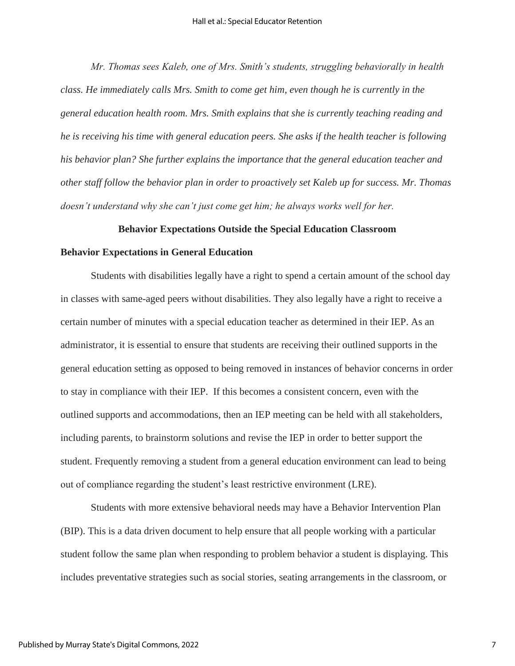*Mr. Thomas sees Kaleb, one of Mrs. Smith's students, struggling behaviorally in health class. He immediately calls Mrs. Smith to come get him, even though he is currently in the general education health room. Mrs. Smith explains that she is currently teaching reading and he is receiving his time with general education peers. She asks if the health teacher is following his behavior plan? She further explains the importance that the general education teacher and other staff follow the behavior plan in order to proactively set Kaleb up for success. Mr. Thomas doesn't understand why she can't just come get him; he always works well for her.* 

### **Behavior Expectations Outside the Special Education Classroom**

#### **Behavior Expectations in General Education**

Students with disabilities legally have a right to spend a certain amount of the school day in classes with same-aged peers without disabilities. They also legally have a right to receive a certain number of minutes with a special education teacher as determined in their IEP. As an administrator, it is essential to ensure that students are receiving their outlined supports in the general education setting as opposed to being removed in instances of behavior concerns in order to stay in compliance with their IEP. If this becomes a consistent concern, even with the outlined supports and accommodations, then an IEP meeting can be held with all stakeholders, including parents, to brainstorm solutions and revise the IEP in order to better support the student. Frequently removing a student from a general education environment can lead to being out of compliance regarding the student's least restrictive environment (LRE).

Students with more extensive behavioral needs may have a Behavior Intervention Plan (BIP). This is a data driven document to help ensure that all people working with a particular student follow the same plan when responding to problem behavior a student is displaying. This includes preventative strategies such as social stories, seating arrangements in the classroom, or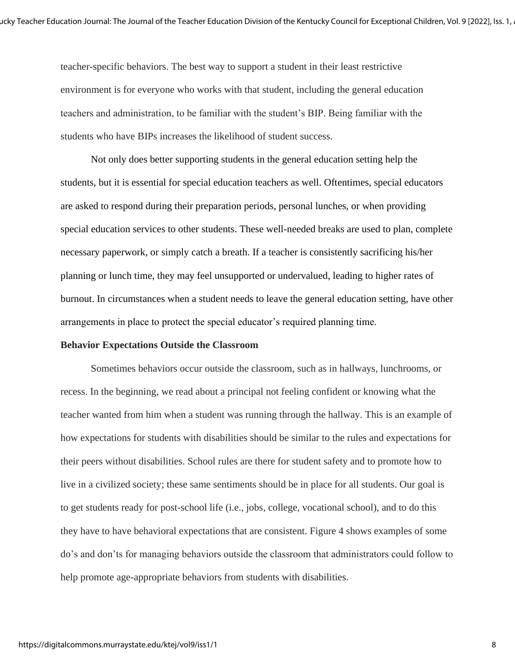teacher-specific behaviors. The best way to support a student in their least restrictive environment is for everyone who works with that student, including the general education teachers and administration, to be familiar with the student's BIP. Being familiar with the students who have BIPs increases the likelihood of student success.

Not only does better supporting students in the general education setting help the students, but it is essential for special education teachers as well. Oftentimes, special educators are asked to respond during their preparation periods, personal lunches, or when providing special education services to other students. These well-needed breaks are used to plan, complete necessary paperwork, or simply catch a breath. If a teacher is consistently sacrificing his/her planning or lunch time, they may feel unsupported or undervalued, leading to higher rates of burnout. In circumstances when a student needs to leave the general education setting, have other arrangements in place to protect the special educator's required planning time.

### **Behavior Expectations Outside the Classroom**

Sometimes behaviors occur outside the classroom, such as in hallways, lunchrooms, or recess. In the beginning, we read about a principal not feeling confident or knowing what the teacher wanted from him when a student was running through the hallway. This is an example of how expectations for students with disabilities should be similar to the rules and expectations for their peers without disabilities. School rules are there for student safety and to promote how to live in a civilized society; these same sentiments should be in place for all students. Our goal is to get students ready for post-school life (i.e., jobs, college, vocational school), and to do this they have to have behavioral expectations that are consistent. Figure 4 shows examples of some do's and don'ts for managing behaviors outside the classroom that administrators could follow to help promote age-appropriate behaviors from students with disabilities.

8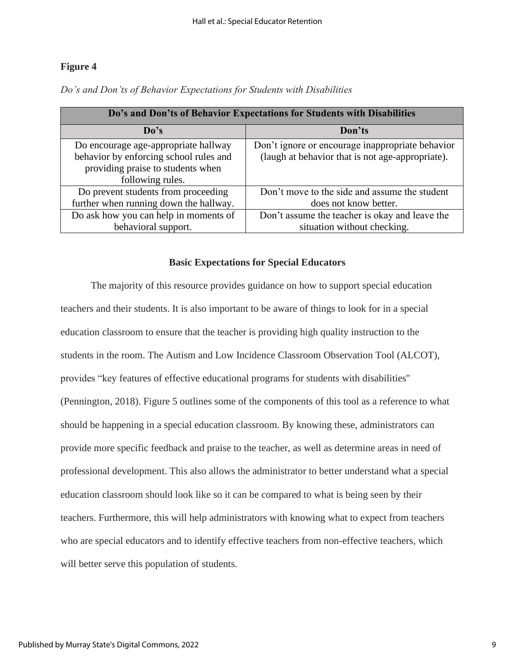# **Figure 4**

| Do's and Don'ts of Behavior Expectations for Students with Disabilities |                                                  |  |  |  |
|-------------------------------------------------------------------------|--------------------------------------------------|--|--|--|
| Do's                                                                    | Don'ts                                           |  |  |  |
| Do encourage age-appropriate hallway                                    | Don't ignore or encourage inappropriate behavior |  |  |  |
| behavior by enforcing school rules and                                  | (laugh at behavior that is not age-appropriate). |  |  |  |
| providing praise to students when                                       |                                                  |  |  |  |
| following rules.                                                        |                                                  |  |  |  |
| Do prevent students from proceeding                                     | Don't move to the side and assume the student    |  |  |  |
| further when running down the hallway.                                  | does not know better.                            |  |  |  |
| Do ask how you can help in moments of                                   | Don't assume the teacher is okay and leave the   |  |  |  |
| behavioral support.                                                     | situation without checking.                      |  |  |  |

*Do's and Don'ts of Behavior Expectations for Students with Disabilities*

### **Basic Expectations for Special Educators**

The majority of this resource provides guidance on how to support special education teachers and their students. It is also important to be aware of things to look for in a special education classroom to ensure that the teacher is providing high quality instruction to the students in the room. The Autism and Low Incidence Classroom Observation Tool (ALCOT), provides "key features of effective educational programs for students with disabilities'' (Pennington, 2018). Figure 5 outlines some of the components of this tool as a reference to what should be happening in a special education classroom. By knowing these, administrators can provide more specific feedback and praise to the teacher, as well as determine areas in need of professional development. This also allows the administrator to better understand what a special education classroom should look like so it can be compared to what is being seen by their teachers. Furthermore, this will help administrators with knowing what to expect from teachers who are special educators and to identify effective teachers from non-effective teachers, which will better serve this population of students.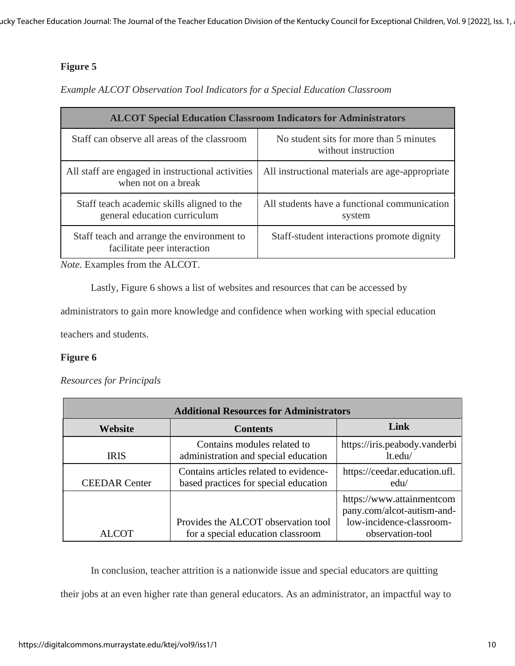# **Figure 5**

# *Example ALCOT Observation Tool Indicators for a Special Education Classroom*

| <b>ALCOT Special Education Classroom Indicators for Administrators</b>     |                                                                |  |  |  |
|----------------------------------------------------------------------------|----------------------------------------------------------------|--|--|--|
| Staff can observe all areas of the classroom                               | No student sits for more than 5 minutes<br>without instruction |  |  |  |
| All staff are engaged in instructional activities<br>when not on a break   | All instructional materials are age-appropriate                |  |  |  |
| Staff teach academic skills aligned to the<br>general education curriculum | All students have a functional communication<br>system         |  |  |  |
| Staff teach and arrange the environment to<br>facilitate peer interaction  | Staff-student interactions promote dignity                     |  |  |  |

*Note.* Examples from the ALCOT.

Lastly, Figure 6 shows a list of websites and resources that can be accessed by

administrators to gain more knowledge and confidence when working with special education

teachers and students.

# **Figure 6**

# *Resources for Principals*

| <b>Additional Resources for Administrators</b> |                                                                                 |                                                                                     |  |
|------------------------------------------------|---------------------------------------------------------------------------------|-------------------------------------------------------------------------------------|--|
| <b>Website</b>                                 | <b>Contents</b>                                                                 | Link                                                                                |  |
| <b>IRIS</b>                                    | Contains modules related to<br>administration and special education             | https://iris.peabody.vanderbi<br>lt.edu/                                            |  |
| <b>CEEDAR</b> Center                           | Contains articles related to evidence-<br>based practices for special education | https://ceedar.education.ufl.<br>edu/                                               |  |
|                                                | Provides the ALCOT observation tool                                             | https://www.attainmentcom<br>pany.com/alcot-autism-and-<br>low-incidence-classroom- |  |
| ALCOT                                          | for a special education classroom                                               | observation-tool                                                                    |  |

In conclusion, teacher attrition is a nationwide issue and special educators are quitting their jobs at an even higher rate than general educators. As an administrator, an impactful way to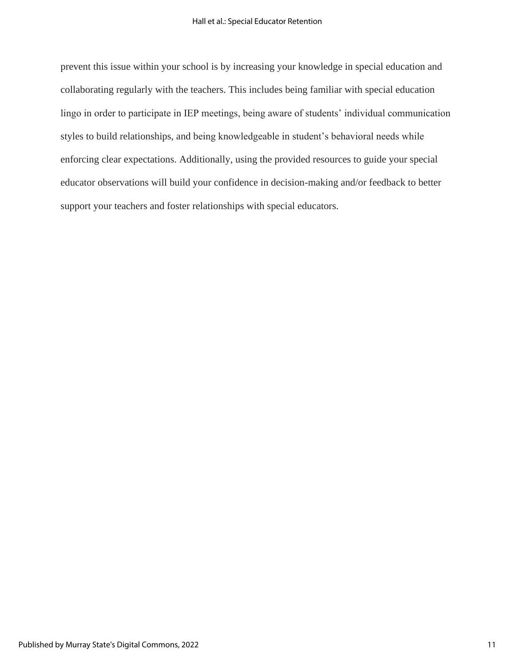prevent this issue within your school is by increasing your knowledge in special education and collaborating regularly with the teachers. This includes being familiar with special education lingo in order to participate in IEP meetings, being aware of students' individual communication styles to build relationships, and being knowledgeable in student's behavioral needs while enforcing clear expectations. Additionally, using the provided resources to guide your special educator observations will build your confidence in decision-making and/or feedback to better support your teachers and foster relationships with special educators.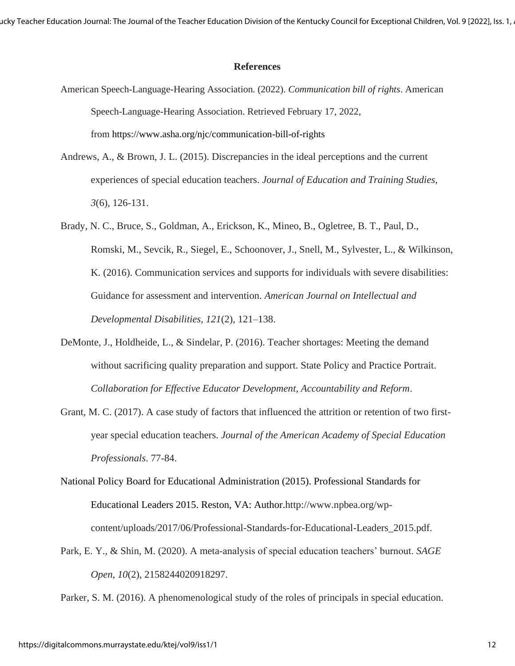ucky Teacher Education Journal: The Journal of the Teacher Education Division of the Kentucky Council for Exceptional Children, Vol. 9 [2022], Iss. 1, .

### **References**

- American Speech-Language-Hearing Association. (2022). *Communication bill of rights*. American Speech-Language-Hearing Association. Retrieved February 17, 2022, from https://www.asha.org/njc/communication-bill-of-rights
- Andrews, A., & Brown, J. L. (2015). Discrepancies in the ideal perceptions and the current experiences of special education teachers. *Journal of Education and Training Studies, 3*(6), 126-131.
- Brady, N. C., Bruce, S., Goldman, A., Erickson, K., Mineo, B., Ogletree, B. T., Paul, D., Romski, M., Sevcik, R., Siegel, E., Schoonover, J., Snell, M., Sylvester, L., & Wilkinson, K. (2016). Communication services and supports for individuals with severe disabilities: Guidance for assessment and intervention. *American Journal on Intellectual and Developmental Disabilities, 121*(2), 121–138.
- DeMonte, J., Holdheide, L., & Sindelar, P. (2016). Teacher shortages: Meeting the demand without sacrificing quality preparation and support. State Policy and Practice Portrait. *Collaboration for Effective Educator Development, Accountability and Reform*.
- Grant, M. C. (2017). A case study of factors that influenced the attrition or retention of two firstyear special education teachers. *Journal of the American Academy of Special Education Professionals*. 77-84.
- National Policy Board for Educational Administration (2015). Professional Standards for Educational Leaders 2015. Reston, VA: Author.http://www.npbea.org/wpcontent/uploads/2017/06/Professional-Standards-for-Educational-Leaders\_2015.pdf.
- Park, E. Y., & Shin, M. (2020). A meta-analysis of special education teachers' burnout. *SAGE Open*, *10*(2), 2158244020918297.

Parker, S. M. (2016). A phenomenological study of the roles of principals in special education.